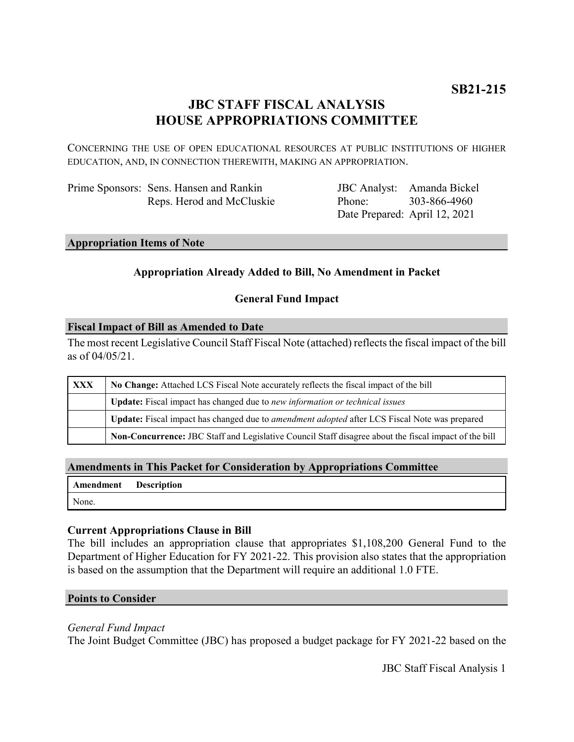# **JBC STAFF FISCAL ANALYSIS HOUSE APPROPRIATIONS COMMITTEE**

CONCERNING THE USE OF OPEN EDUCATIONAL RESOURCES AT PUBLIC INSTITUTIONS OF HIGHER EDUCATION, AND, IN CONNECTION THEREWITH, MAKING AN APPROPRIATION.

| Prime Sponsors: Sens. Hansen and Rankin |
|-----------------------------------------|
| Reps. Herod and McCluskie               |

JBC Analyst: Amanda Bickel Phone: Date Prepared: April 12, 2021 303-866-4960

# **Appropriation Items of Note**

# **Appropriation Already Added to Bill, No Amendment in Packet**

## **General Fund Impact**

### **Fiscal Impact of Bill as Amended to Date**

The most recent Legislative Council Staff Fiscal Note (attached) reflects the fiscal impact of the bill as of 04/05/21.

| XXX | No Change: Attached LCS Fiscal Note accurately reflects the fiscal impact of the bill                 |  |
|-----|-------------------------------------------------------------------------------------------------------|--|
|     | Update: Fiscal impact has changed due to new information or technical issues                          |  |
|     | Update: Fiscal impact has changed due to <i>amendment adopted</i> after LCS Fiscal Note was prepared  |  |
|     | Non-Concurrence: JBC Staff and Legislative Council Staff disagree about the fiscal impact of the bill |  |

## **Amendments in This Packet for Consideration by Appropriations Committee**

| Amendment | <b>Description</b> |
|-----------|--------------------|
| None.     |                    |

#### **Current Appropriations Clause in Bill**

The bill includes an appropriation clause that appropriates \$1,108,200 General Fund to the Department of Higher Education for FY 2021-22. This provision also states that the appropriation is based on the assumption that the Department will require an additional 1.0 FTE.

#### **Points to Consider**

#### *General Fund Impact*

The Joint Budget Committee (JBC) has proposed a budget package for FY 2021-22 based on the